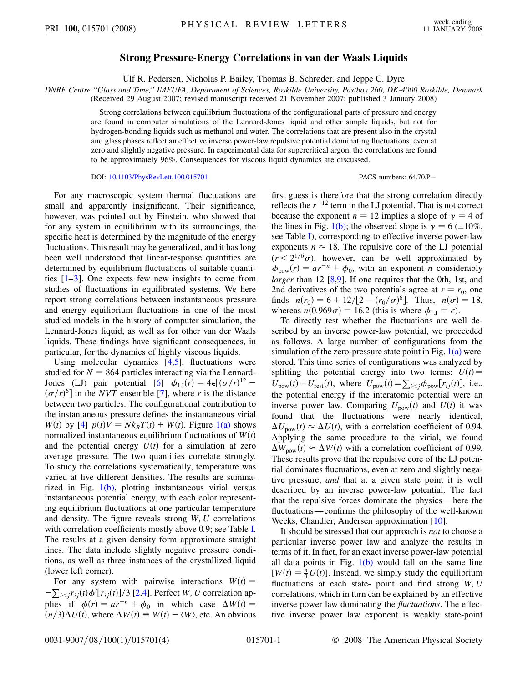## **Strong Pressure-Energy Correlations in van der Waals Liquids**

Ulf R. Pedersen, Nicholas P. Bailey, Thomas B. Schrøder, and Jeppe C. Dyre

*DNRF Centre ''Glass and Time,'' IMFUFA, Department of Sciences, Roskilde University, Postbox 260, DK-4000 Roskilde, Denmark*

(Received 29 August 2007; revised manuscript received 21 November 2007; published 3 January 2008)

Strong correlations between equilibrium fluctuations of the configurational parts of pressure and energy are found in computer simulations of the Lennard-Jones liquid and other simple liquids, but not for hydrogen-bonding liquids such as methanol and water. The correlations that are present also in the crystal and glass phases reflect an effective inverse power-law repulsive potential dominating fluctuations, even at zero and slightly negative pressure. In experimental data for supercritical argon, the correlations are found to be approximately 96%. Consequences for viscous liquid dynamics are discussed.

## DOI: [10.1103/PhysRevLett.100.015701](http://dx.doi.org/10.1103/PhysRevLett.100.015701) PACS numbers: 64.70.P

For any macroscopic system thermal fluctuations are small and apparently insignificant. Their significance, however, was pointed out by Einstein, who showed that for any system in equilibrium with its surroundings, the specific heat is determined by the magnitude of the energy fluctuations. This result may be generalized, and it has long been well understood that linear-response quantities are determined by equilibrium fluctuations of suitable quantities  $[1-3]$  $[1-3]$ . One expects few new insights to come from studies of fluctuations in equilibrated systems. We here report strong correlations between instantaneous pressure and energy equilibrium fluctuations in one of the most studied models in the history of computer simulation, the Lennard-Jones liquid, as well as for other van der Waals liquids. These findings have significant consequences, in particular, for the dynamics of highly viscous liquids.

Using molecular dynamics [\[4,](#page-3-2)[5](#page-3-3)], fluctuations were studied for  $N = 864$  particles interacting via the Lennard-Jones (LJ) pair potential [\[6](#page-3-4)]  $\phi_{\text{LJ}}(r) = 4\epsilon [(\sigma/r)^{12} (\sigma/r)^6$  in the *NVT* ensemble [[7\]](#page-3-5), where *r* is the distance between two particles. The configurational contribution to the instantaneous pressure defines the instantaneous virial *W*(*t*) by [\[4\]](#page-3-2)  $p(t)V = Nk_BT(t) + W(t)$ . Figure [1\(a\)](#page-1-0) shows normalized instantaneous equilibrium fluctuations of  $W(t)$ and the potential energy  $U(t)$  for a simulation at zero average pressure. The two quantities correlate strongly. To study the correlations systematically, temperature was varied at five different densities. The results are summarized in Fig. [1\(b\),](#page-1-0) plotting instantaneous virial versus instantaneous potential energy, with each color representing equilibrium fluctuations at one particular temperature and density. The figure reveals strong *W;U* correlations with correlation coefficients mostly above 0.9; see Table [I](#page-1-1). The results at a given density form approximate straight lines. The data include slightly negative pressure conditions, as well as three instances of the crystallized liquid (lower left corner).

For any system with pairwise interactions  $W(t) =$  $-\sum_{i \leq j} r_{ij}(t) \phi' [r_{ij}(t)]/3$  [\[2](#page-3-6)[,4](#page-3-2)]. Perfect *W*, *U* correlation applies if  $\phi(r) = ar^{-n} + \phi_0$  in which case  $\Delta W(t) =$  $(n/3)\Delta U(t)$ , where  $\Delta W(t) \equiv W(t) - \langle W \rangle$ , etc. An obvious first guess is therefore that the strong correlation directly reflects the  $r^{-12}$  term in the LJ potential. That is not correct because the exponent  $n = 12$  implies a slope of  $\gamma = 4$  of the lines in Fig. [1\(b\)](#page-1-0); the observed slope is  $\gamma = 6 \ (\pm 10\%$ , see Table [I\)](#page-1-1), corresponding to effective inverse power-law exponents  $n \approx 18$ . The repulsive core of the LJ potential  $(r < 2^{1/6}\sigma)$ , however, can be well approximated by  $\phi_{\text{pow}}(r) = ar^{-n} + \phi_0$ , with an exponent *n* considerably *larger* than 12 [\[8](#page-3-7),[9](#page-3-8)]. If one requires that the 0th, 1st, and 2nd derivatives of the two potentials agree at  $r = r_0$ , one finds  $n(r_0) = 6 + 12/[2 - (r_0/\sigma)^6]$ . Thus,  $n(\sigma) = 18$ , whereas  $n(0.969\sigma) = 16.2$  (this is where  $\phi_{\text{LJ}} = \epsilon$ ).

To directly test whether the fluctuations are well described by an inverse power-law potential, we proceeded as follows. A large number of configurations from the simulation of the zero-pressure state point in Fig.  $1(a)$  were stored. This time series of configurations was analyzed by splitting the potential energy into two terms:  $U(t)$  =  $U_{\text{pow}}(t) + U_{\text{rest}}(t)$ , where  $U_{\text{pow}}(t) \equiv \sum_{i < j} \phi_{\text{pow}}[r_{ij}(t)]$ , i.e., the potential energy if the interatomic potential were an inverse power law. Comparing  $U_{\text{pow}}(t)$  and  $U(t)$  it was found that the fluctuations were nearly identical,  $\Delta U_{\text{pow}}(t) \approx \Delta U(t)$ , with a correlation coefficient of 0.94. Applying the same procedure to the virial, we found  $\Delta W_{\text{pow}}(t) \approx \Delta W(t)$  with a correlation coefficient of 0.99. These results prove that the repulsive core of the LJ potential dominates fluctuations, even at zero and slightly negative pressure, *and* that at a given state point it is well described by an inverse power-law potential. The fact that the repulsive forces dominate the physics—here the fluctuations—confirms the philosophy of the well-known Weeks, Chandler, Andersen approximation [[10](#page-3-9)].

It should be stressed that our approach is *not* to choose a particular inverse power law and analyze the results in terms of it. In fact, for an exact inverse power-law potential all data points in Fig.  $1(b)$  would fall on the same line  $[W(t) = \frac{n}{3}U(t)]$ . Instead, we simply study the equilibrium fluctuations at each state- point and find strong *W;U* correlations, which in turn can be explained by an effective inverse power law dominating the *fluctuations*. The effective inverse power law exponent is weakly state-point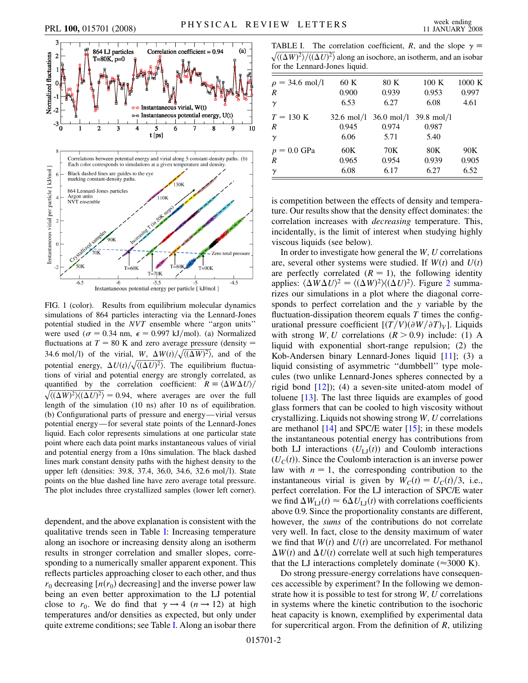

<span id="page-1-2"></span>

<span id="page-1-0"></span>FIG. 1 (color). Results from equilibrium molecular dynamics simulations of 864 particles interacting via the Lennard-Jones potential studied in the *NVT* ensemble where ''argon units'' were used ( $\sigma = 0.34$  nm,  $\epsilon = 0.997$  kJ/mol). (a) Normalized fluctuations at  $T = 80$  K and zero average pressure (density  $=$ 34.6 mol/l) of the virial, *W*,  $\Delta W(t)/\sqrt{\langle (\Delta W)^2 \rangle}$ , and of the potential energy,  $\Delta U(t)/\sqrt{\langle (\Delta U)^2 \rangle}$ . The equilibrium fluctuations of virial and potential energy are strongly correlated, as quantified by the correlation coefficient:  $R = \langle \Delta W \Delta U \rangle /$  $\sqrt{\langle(\Delta W)^2\rangle\langle(\Delta U)^2\rangle} = 0.94$ , where averages are over the full length of the simulation (10 ns) after 10 ns of equilibration. (b) Configurational parts of pressure and energy—virial versus potential energy—for several state points of the Lennard-Jones liquid. Each color represents simulations at one particular state point where each data point marks instantaneous values of virial and potential energy from a 10ns simulation. The black dashed lines mark constant density paths with the highest density to the upper left (densities: 39.8, 37.4, 36.0, 34.6, 32.6 mol/l). State points on the blue dashed line have zero average total pressure. The plot includes three crystallized samples (lower left corner).

dependent, and the above explanation is consistent with the qualitative trends seen in Table [I](#page-1-1): Increasing temperature along an isochore or increasing density along an isotherm results in stronger correlation and smaller slopes, corresponding to a numerically smaller apparent exponent. This reflects particles approaching closer to each other, and thus  $r_0$  decreasing  $[n(r_0)]$  decreasing] and the inverse power law being an even better approximation to the LJ potential close to  $r_0$ . We do find that  $\gamma \rightarrow 4 \ (n \rightarrow 12)$  at high temperatures and/or densities as expected, but only under quite extreme conditions; see Table [I.](#page-1-1) Along an isobar there

<span id="page-1-1"></span>TABLE I. The correlation coefficient, *R*, and the slope  $\gamma$  $\sqrt{\langle (\Delta W)^2 \rangle / (\langle \Delta U)^2 \rangle}$  along an isochore, an isotherm, and an isobar for the Lennard-Jones liquid.

| $\rho = 34.6$ mol/l | 60 K  | 80 K                            | 100K                 | 1000 K |
|---------------------|-------|---------------------------------|----------------------|--------|
| R                   | 0.900 | 0.939                           | 0.953                | 0.997  |
| $\gamma$            | 6.53  | 6.27                            | 6.08                 | 4.61   |
| $T = 130 \text{ K}$ |       | $32.6 \text{ mol}/1$ 36.0 mol/l | $39.8 \text{ mol}/1$ |        |
| R                   | 0.945 | 0.974                           | 0.987                |        |
| $\gamma$            | 6.06  | 5.71                            | 5.40                 |        |
| $p = 0.0$ GPa       | 60K   | 70K                             | 80K                  | 90K    |
| R                   | 0.965 | 0.954                           | 0.939                | 0.905  |
| $\gamma$            | 6.08  | 6.17                            | 6.27                 | 6.52   |

is competition between the effects of density and temperature. Our results show that the density effect dominates: the correlation increases with *decreasing* temperature. This, incidentally, is the limit of interest when studying highly viscous liquids (see below).

In order to investigate how general the *W;U* correlations are, several other systems were studied. If  $W(t)$  and  $U(t)$ are perfectly correlated  $(R = 1)$ , the following identity applies:  $\langle \Delta W \Delta U \rangle^2 = \langle (\Delta W)^2 \rangle \langle (\Delta U)^2 \rangle$  $\langle \Delta W \Delta U \rangle^2 = \langle (\Delta W)^2 \rangle \langle (\Delta U)^2 \rangle$  $\langle \Delta W \Delta U \rangle^2 = \langle (\Delta W)^2 \rangle \langle (\Delta U)^2 \rangle$ . Figure 2 summarizes our simulations in a plot where the diagonal corresponds to perfect correlation and the *y* variable by the fluctuation-dissipation theorem equals *T* times the configurational pressure coefficient  $[(T/V)(\partial W/\partial T)_V]$ . Liquids with strong *W*, *U* correlations  $(R > 0.9)$  include: (1) A liquid with exponential short-range repulsion; (2) the Kob-Andersen binary Lennard-Jones liquid [\[11](#page-3-10)]; (3) a liquid consisting of asymmetric ''dumbbell'' type molecules (two unlike Lennard-Jones spheres connected by a rigid bond  $[12]$ ; (4) a seven-site united-atom model of toluene [[13](#page-3-12)]. The last three liquids are examples of good glass formers that can be cooled to high viscosity without crystallizing. Liquids not showing strong *W;U* correlations are methanol  $[14]$  $[14]$  $[14]$  and SPC/E water  $[15]$ ; in these models the instantaneous potential energy has contributions from both LJ interactions  $(U_{LJ}(t))$  and Coulomb interactions  $(U<sub>C</sub>(t))$ . Since the Coulomb interaction is an inverse power law with  $n = 1$ , the corresponding contribution to the instantaneous virial is given by  $W_C(t) = U_C(t)/3$ , i.e., perfect correlation. For the LJ interaction of SPC/E water we find  $\Delta W_{\text{LJ}}(t) \approx 6 \Delta U_{\text{LJ}}(t)$  with correlations coefficients above 0.9. Since the proportionality constants are different, however, the *sums* of the contributions do not correlate very well. In fact, close to the density maximum of water we find that  $W(t)$  and  $U(t)$  are uncorrelated. For methanol  $\Delta W(t)$  and  $\Delta U(t)$  correlate well at such high temperatures that the LJ interactions completely dominate  $(\approx 3000 \text{ K})$ .

Do strong pressure-energy correlations have consequences accessible by experiment? In the following we demonstrate how it is possible to test for strong *W*, *U* correlations in systems where the kinetic contribution to the isochoric heat capacity is known, exemplified by experimental data for supercritical argon. From the definition of *R*, utilizing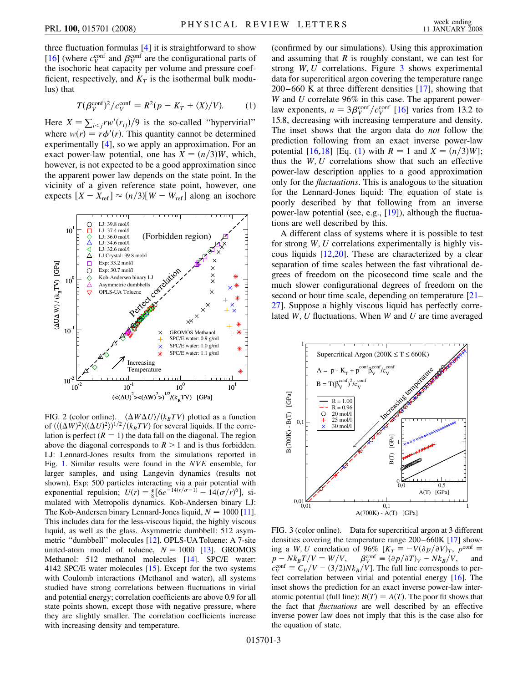three fluctuation formulas [[4](#page-3-2)] it is straightforward to show [\[16\]](#page-3-15) (where  $c_V^{\text{conf}}$  and  $\beta_V^{\text{conf}}$  are the configurational parts of the isochoric heat capacity per volume and pressure coefficient, respectively, and  $K_T$  is the isothermal bulk modulus) that

$$
T(\beta_V^{\text{conf}})^2 / c_V^{\text{conf}} = R^2(p - K_T + \langle X \rangle / V). \tag{1}
$$

<span id="page-2-2"></span>Here  $X = \sum_{i < j} r w'(r_{ij})/9$  is the so-called "hypervirial" where  $w(r) = r\phi'(r)$ . This quantity cannot be determined experimentally [\[4\]](#page-3-2), so we apply an approximation. For an exact power-law potential, one has  $X = (n/3)W$ , which, however, is not expected to be a good approximation since the apparent power law depends on the state point. In the vicinity of a given reference state point, however, one expects  $[X - X_{ref}] \approx (n/3)[W - W_{ref}]$  along an isochore

<span id="page-2-0"></span>

FIG. 2 (color online).  $\langle \Delta W \Delta U \rangle / (k_B T V)$  plotted as a function of  $(\langle (\Delta W)^2 \rangle \langle (\Delta U)^2 \rangle)^{1/2} / (k_B T V)$  for several liquids. If the correlation is perfect  $(R = 1)$  the data fall on the diagonal. The region above the diagonal corresponds to  $R > 1$  and is thus forbidden. LJ: Lennard-Jones results from the simulations reported in Fig. [1.](#page-1-2) Similar results were found in the *NVE* ensemble, for larger samples, and using Langevin dynamics (results not shown). Exp: 500 particles interacting via a pair potential with exponential repulsion;  $U(r) = \frac{\epsilon}{8} [6e^{-14(r/\sigma - 1)} - 14(\sigma/r)^6]$ , simulated with Metropolis dynamics. Kob-Andersen binary LJ: The Kob-Andersen binary Lennard-Jones liquid,  $N = 1000$  [\[11\]](#page-3-10). This includes data for the less-viscous liquid, the highly viscous liquid, as well as the glass. Asymmetric dumbbell: 512 asymmetric ''dumbbell'' molecules [[12](#page-3-11)]. OPLS-UA Toluene: A 7-site united-atom model of toluene,  $N = 1000$  [\[13\]](#page-3-12). GROMOS Methanol: 512 methanol molecules [\[14\]](#page-3-13). SPC/E water: 4142 SPC/E water molecules [\[15\]](#page-3-14). Except for the two systems with Coulomb interactions (Methanol and water), all systems studied have strong correlations between fluctuations in virial and potential energy; correlation coefficients are above 0.9 for all state points shown, except those with negative pressure, where they are slightly smaller. The correlation coefficients increase with increasing density and temperature.

(confirmed by our simulations). Using this approximation and assuming that *R* is roughly constant, we can test for strong *W;U* correlations. Figure [3](#page-2-1) shows experimental data for supercritical argon covering the temperature range 200–660 K at three different densities [[17](#page-3-16)], showing that *W* and *U* correlate 96% in this case. The apparent powerlaw exponents,  $n = 3\beta_V^{\text{conf}}/c_V^{\text{conf}}$  [\[16\]](#page-3-15) varies from 13.2 to 15.8, decreasing with increasing temperature and density. The inset shows that the argon data do *not* follow the prediction following from an exact inverse power-law potential [\[16,](#page-3-15)[18\]](#page-3-17) [Eq. ([1](#page-2-2)) with  $R = 1$  and  $X = (n/3)W$ ]; thus the *W;U* correlations show that such an effective power-law description applies to a good approximation only for the *fluctuations*. This is analogous to the situation for the Lennard-Jones liquid: The equation of state is poorly described by that following from an inverse power-law potential (see, e.g., [\[19\]](#page-3-18)), although the fluctuations are well described by this.

A different class of systems where it is possible to test for strong *W;U* correlations experimentally is highly viscous liquids [[12](#page-3-11),[20](#page-3-19)]. These are characterized by a clear separation of time scales between the fast vibrational degrees of freedom on the picosecond time scale and the much slower configurational degrees of freedom on the second or hour time scale, depending on temperature [\[21–](#page-3-20) [27](#page-3-21)]. Suppose a highly viscous liquid has perfectly correlated *W;U* fluctuations. When *W* and *U* are time averaged

<span id="page-2-1"></span>

FIG. 3 (color online). Data for supercritical argon at 3 different densities covering the temperature range 200–660K [[17](#page-3-16)] showing a *W*, *U* correlation of 96%  $[K_T = -V(\partial p/\partial V)_T$ ,  $p^{\text{conf}} =$  $p - Nk_B T/V = W/V$ ,  $\beta_V^{\text{conf}}$  $\beta_V^{\text{conf}} \equiv (\partial p / \partial T)_V - N k_B / V$ ,  $c_V^{\text{conf}} \equiv C_V/V - (3/2)Nk_B/V$ . The full line corresponds to perfect correlation between virial and potential energy [\[16\]](#page-3-15). The inset shows the prediction for an exact inverse power-law interatomic potential (full line):  $B(T) = A(T)$ . The poor fit shows that the fact that *fluctuations* are well described by an effective inverse power law does not imply that this is the case also for the equation of state.